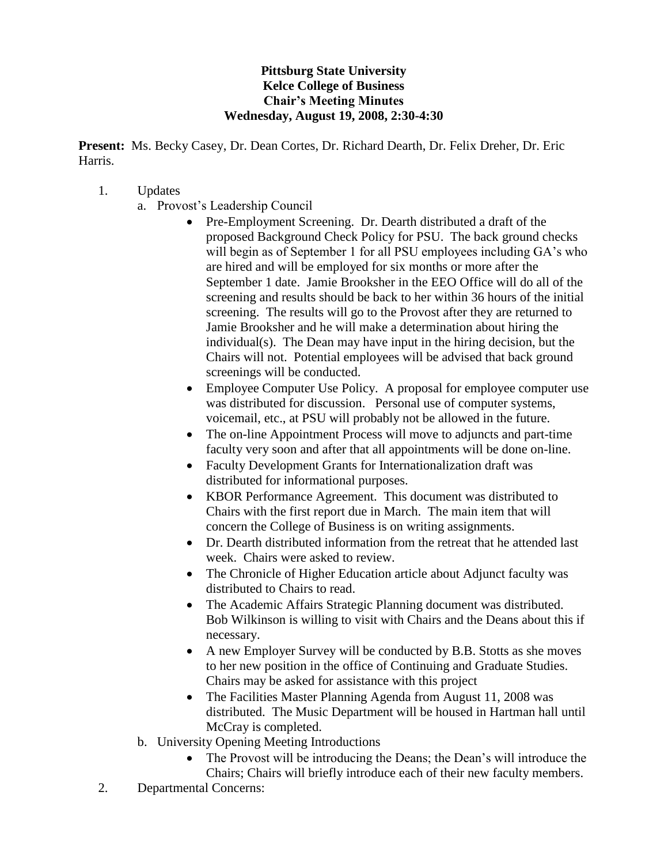## **Pittsburg State University Kelce College of Business Chair's Meeting Minutes Wednesday, August 19, 2008, 2:30-4:30**

**Present:** Ms. Becky Casey, Dr. Dean Cortes, Dr. Richard Dearth, Dr. Felix Dreher, Dr. Eric Harris.

- 1. Updates
	- a. Provost's Leadership Council
		- Pre-Employment Screening. Dr. Dearth distributed a draft of the proposed Background Check Policy for PSU. The back ground checks will begin as of September 1 for all PSU employees including GA's who are hired and will be employed for six months or more after the September 1 date. Jamie Brooksher in the EEO Office will do all of the screening and results should be back to her within 36 hours of the initial screening. The results will go to the Provost after they are returned to Jamie Brooksher and he will make a determination about hiring the individual(s). The Dean may have input in the hiring decision, but the Chairs will not. Potential employees will be advised that back ground screenings will be conducted.
		- Employee Computer Use Policy. A proposal for employee computer use was distributed for discussion. Personal use of computer systems, voicemail, etc., at PSU will probably not be allowed in the future.
		- The on-line Appointment Process will move to adjuncts and part-time faculty very soon and after that all appointments will be done on-line.
		- Faculty Development Grants for Internationalization draft was distributed for informational purposes.
		- KBOR Performance Agreement. This document was distributed to Chairs with the first report due in March. The main item that will concern the College of Business is on writing assignments.
		- Dr. Dearth distributed information from the retreat that he attended last week. Chairs were asked to review.
		- The Chronicle of Higher Education article about Adjunct faculty was distributed to Chairs to read.
		- The Academic Affairs Strategic Planning document was distributed. Bob Wilkinson is willing to visit with Chairs and the Deans about this if necessary.
		- A new Employer Survey will be conducted by B.B. Stotts as she moves to her new position in the office of Continuing and Graduate Studies. Chairs may be asked for assistance with this project
		- The Facilities Master Planning Agenda from August 11, 2008 was distributed. The Music Department will be housed in Hartman hall until McCray is completed.
	- b. University Opening Meeting Introductions
		- The Provost will be introducing the Deans; the Dean's will introduce the Chairs; Chairs will briefly introduce each of their new faculty members.
- 2. Departmental Concerns: